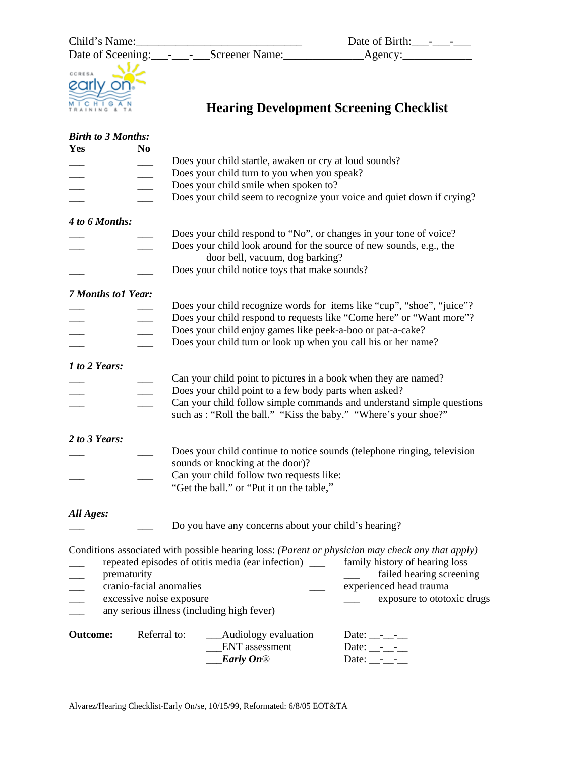

Date of Sceening:\_\_\_-\_\_\_-\_\_\_Screener Name:\_\_\_\_\_\_\_\_\_\_\_\_\_\_Agency:\_\_\_\_\_\_\_\_\_\_\_\_

| Date of Birth: |  |
|----------------|--|
| Agency:        |  |



# **Hearing Development Screening Checklist**

| <b>Birth to 3 Months:</b> |                          |                                                                                                        |                                                                                                  |
|---------------------------|--------------------------|--------------------------------------------------------------------------------------------------------|--------------------------------------------------------------------------------------------------|
| Yes                       | N <sub>0</sub>           |                                                                                                        |                                                                                                  |
|                           |                          | Does your child startle, awaken or cry at loud sounds?                                                 |                                                                                                  |
|                           |                          | Does your child turn to you when you speak?                                                            |                                                                                                  |
|                           |                          | Does your child smile when spoken to?                                                                  |                                                                                                  |
|                           |                          |                                                                                                        | Does your child seem to recognize your voice and quiet down if crying?                           |
| 4 to 6 Months:            |                          |                                                                                                        |                                                                                                  |
|                           |                          | Does your child respond to "No", or changes in your tone of voice?                                     |                                                                                                  |
|                           |                          | Does your child look around for the source of new sounds, e.g., the<br>door bell, vacuum, dog barking? |                                                                                                  |
|                           |                          | Does your child notice toys that make sounds?                                                          |                                                                                                  |
| <b>7 Months to1 Year:</b> |                          |                                                                                                        |                                                                                                  |
|                           |                          |                                                                                                        | Does your child recognize words for items like "cup", "shoe", "juice"?                           |
|                           |                          |                                                                                                        | Does your child respond to requests like "Come here" or "Want more"?                             |
|                           |                          | Does your child enjoy games like peek-a-boo or pat-a-cake?                                             |                                                                                                  |
|                           |                          | Does your child turn or look up when you call his or her name?                                         |                                                                                                  |
|                           |                          |                                                                                                        |                                                                                                  |
| 1 to 2 Years:             |                          |                                                                                                        |                                                                                                  |
|                           |                          | Can your child point to pictures in a book when they are named?                                        |                                                                                                  |
|                           |                          | Does your child point to a few body parts when asked?                                                  |                                                                                                  |
|                           |                          | such as : "Roll the ball." "Kiss the baby." "Where's your shoe?"                                       | Can your child follow simple commands and understand simple questions                            |
| 2 to 3 Years:             |                          |                                                                                                        |                                                                                                  |
|                           |                          | Does your child continue to notice sounds (telephone ringing, television                               |                                                                                                  |
|                           |                          | sounds or knocking at the door)?                                                                       |                                                                                                  |
|                           |                          | Can your child follow two requests like:                                                               |                                                                                                  |
|                           |                          | "Get the ball." or "Put it on the table,"                                                              |                                                                                                  |
|                           |                          |                                                                                                        |                                                                                                  |
| All Ages:                 |                          | Do you have any concerns about your child's hearing?                                                   |                                                                                                  |
|                           |                          |                                                                                                        |                                                                                                  |
|                           |                          |                                                                                                        | Conditions associated with possible hearing loss: (Parent or physician may check any that apply) |
|                           |                          | repeated episodes of otitis media (ear infection) ______ family history of hearing loss                |                                                                                                  |
| prematurity               |                          |                                                                                                        | failed hearing screening                                                                         |
|                           | cranio-facial anomalies  |                                                                                                        | experienced head trauma                                                                          |
|                           | excessive noise exposure |                                                                                                        | exposure to ototoxic drugs                                                                       |
|                           |                          | any serious illness (including high fever)                                                             |                                                                                                  |
| <b>Outcome:</b>           | Referral to:             | _Audiology evaluation                                                                                  | Date: $\_\_$ - $\_\_$ - $\_\_$                                                                   |
|                           |                          | <b>ENT</b> assessment                                                                                  | Date: $\_\_$ - $\_\_$ -                                                                          |
|                           |                          | <b>Early On®</b>                                                                                       | Date: $\_\_$ - $\_\_$ -                                                                          |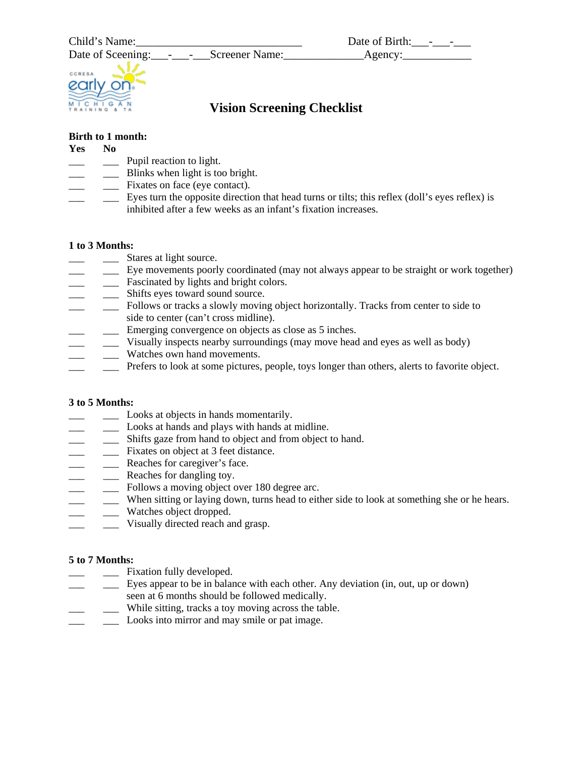

# **Vision Screening Checklist**

# **Birth to 1 month:**

#### **Yes No**

- \_\_\_ \_\_\_ Pupil reaction to light.
- \_\_\_ \_\_\_ Blinks when light is too bright.
- \_\_\_ \_\_\_ Fixates on face (eye contact).
- \_\_\_ \_\_\_ Eyes turn the opposite direction that head turns or tilts; this reflex (doll's eyes reflex) is inhibited after a few weeks as an infant's fixation increases.

#### **1 to 3 Months:**

- \_\_\_ \_\_\_ Stares at light source.
- \_\_\_ \_\_\_ Eye movements poorly coordinated (may not always appear to be straight or work together)
- \_\_\_ \_\_\_ Fascinated by lights and bright colors.
- \_\_\_ Shifts eyes toward sound source.
- \_\_\_ \_\_\_ Follows or tracks a slowly moving object horizontally. Tracks from center to side to side to center (can't cross midline).
- \_\_\_ \_\_\_ Emerging convergence on objects as close as 5 inches.
- \_\_\_ \_\_\_ Visually inspects nearby surroundings (may move head and eyes as well as body)
- \_\_\_ \_\_\_ Watches own hand movements.
- \_\_\_ \_\_\_ Prefers to look at some pictures, people, toys longer than others, alerts to favorite object.

# **3 to 5 Months:**

- \_\_\_ \_\_\_ Looks at objects in hands momentarily.
- \_\_\_ \_\_\_ Looks at hands and plays with hands at midline.
- \_\_\_ \_\_\_ Shifts gaze from hand to object and from object to hand.
- \_\_\_ \_\_\_ Fixates on object at 3 feet distance.
- \_\_\_ \_\_\_ Reaches for caregiver's face.
- \_\_\_\_ Reaches for dangling toy.
- \_\_\_ \_\_\_ Follows a moving object over 180 degree arc.
- \_\_\_ \_\_\_ When sitting or laying down, turns head to either side to look at something she or he hears.
- Watches object dropped.
- \_\_\_ \_\_\_ Visually directed reach and grasp.

# **5 to 7 Months:**

- \_\_\_ \_\_\_ Fixation fully developed.
- \_\_\_ \_\_\_ Eyes appear to be in balance with each other. Any deviation (in, out, up or down) seen at 6 months should be followed medically.
- \_\_\_ \_\_\_ While sitting, tracks a toy moving across the table.
- \_\_\_ \_\_\_ Looks into mirror and may smile or pat image.